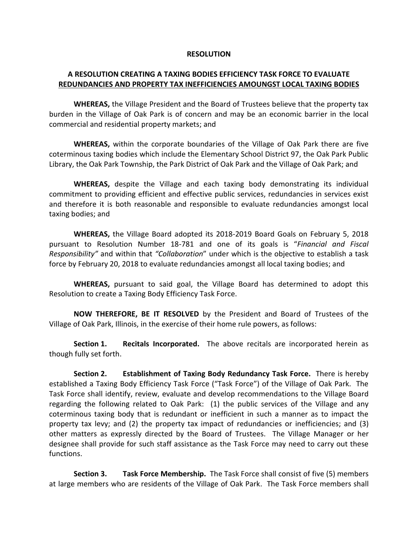## **RESOLUTION**

## **A RESOLUTION CREATING A TAXING BODIES EFFICIENCY TASK FORCE TO EVALUATE REDUNDANCIES AND PROPERTY TAX INEFFICIENCIES AMOUNGST LOCAL TAXING BODIES**

**WHEREAS,** the Village President and the Board of Trustees believe that the property tax burden in the Village of Oak Park is of concern and may be an economic barrier in the local commercial and residential property markets; and

**WHEREAS,** within the corporate boundaries of the Village of Oak Park there are five coterminous taxing bodies which include the Elementary School District 97, the Oak Park Public Library, the Oak Park Township, the Park District of Oak Park and the Village of Oak Park; and

**WHEREAS,** despite the Village and each taxing body demonstrating its individual commitment to providing efficient and effective public services, redundancies in services exist and therefore it is both reasonable and responsible to evaluate redundancies amongst local taxing bodies; and

**WHEREAS,** the Village Board adopted its 2018-2019 Board Goals on February 5, 2018 pursuant to Resolution Number 18-781 and one of its goals is "*Financial and Fiscal Responsibility"* and within that *"Collaboration*" under which is the objective to establish a task force by February 20, 2018 to evaluate redundancies amongst all local taxing bodies; and

**WHEREAS,** pursuant to said goal, the Village Board has determined to adopt this Resolution to create a Taxing Body Efficiency Task Force.

**NOW THEREFORE, BE IT RESOLVED** by the President and Board of Trustees of the Village of Oak Park, Illinois, in the exercise of their home rule powers, as follows:

**Section 1. Recitals Incorporated.** The above recitals are incorporated herein as though fully set forth.

**Section 2. Establishment of Taxing Body Redundancy Task Force.** There is hereby established a Taxing Body Efficiency Task Force ("Task Force") of the Village of Oak Park. The Task Force shall identify, review, evaluate and develop recommendations to the Village Board regarding the following related to Oak Park: (1) the public services of the Village and any coterminous taxing body that is redundant or inefficient in such a manner as to impact the property tax levy; and (2) the property tax impact of redundancies or inefficiencies; and (3) other matters as expressly directed by the Board of Trustees. The Village Manager or her designee shall provide for such staff assistance as the Task Force may need to carry out these functions.

**Section 3. Task Force Membership.** The Task Force shall consist of five (5) members at large members who are residents of the Village of Oak Park. The Task Force members shall